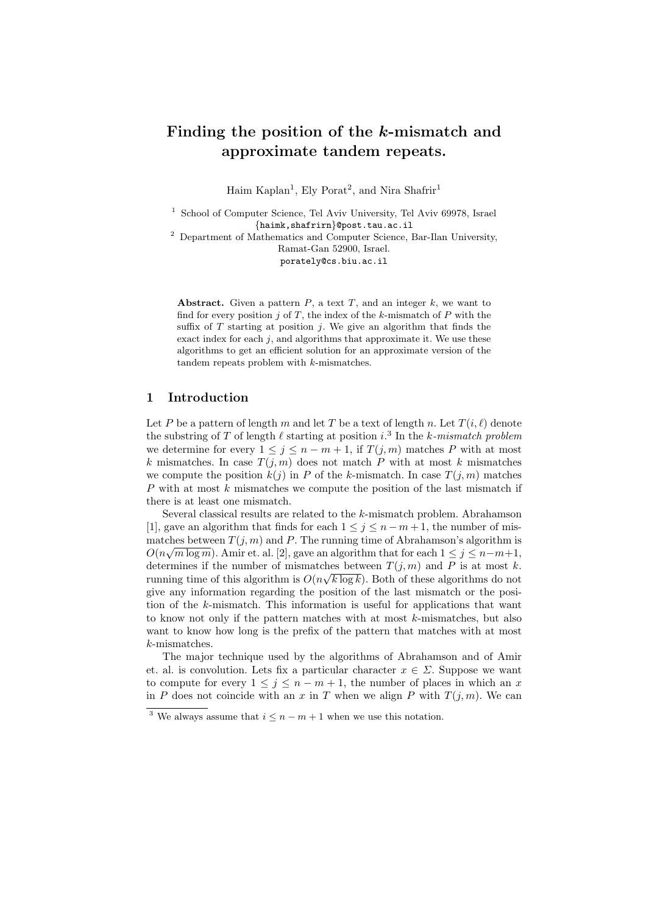# Finding the position of the k-mismatch and approximate tandem repeats.

Haim Kaplan<sup>1</sup>, Ely Porat<sup>2</sup>, and Nira Shafrir<sup>1</sup>

<sup>1</sup> School of Computer Science, Tel Aviv University, Tel Aviv 69978, Israel {haimk,shafrirn}@post.tau.ac.il

 $^{\rm 2}$  Department of Mathematics and Computer Science, Bar-Ilan University, Ramat-Gan 52900, Israel.

porately@cs.biu.ac.il

Abstract. Given a pattern  $P$ , a text  $T$ , and an integer  $k$ , we want to find for every position  $j$  of  $T$ , the index of the k-mismatch of  $P$  with the suffix of  $T$  starting at position  $j$ . We give an algorithm that finds the exact index for each  $j$ , and algorithms that approximate it. We use these algorithms to get an efficient solution for an approximate version of the tandem repeats problem with k-mismatches.

### 1 Introduction

Let P be a pattern of length m and let T be a text of length n. Let  $T(i, \ell)$  denote the substring of T of length  $\ell$  starting at position i.<sup>3</sup> In the k-mismatch problem we determine for every  $1 \leq j \leq n-m+1$ , if  $T(j,m)$  matches P with at most k mismatches. In case  $T(j, m)$  does not match P with at most k mismatches we compute the position  $k(j)$  in P of the k-mismatch. In case  $T(j, m)$  matches  $P$  with at most  $k$  mismatches we compute the position of the last mismatch if there is at least one mismatch.

Several classical results are related to the k-mismatch problem. Abrahamson [1], gave an algorithm that finds for each  $1 \leq j \leq n-m+1$ , the number of mismatches between  $T(j, m)$  and P. The running time of Abrahamson's algorithm is  $O(n\sqrt{m \log m})$ . Amir et. al. [2], gave an algorithm that for each  $1 \leq j \leq n-m+1$ , determines if the number of mismatches between  $T(j, m)$  and P is at most k. running time of this algorithm is  $O(n\sqrt{k \log k})$ . Both of these algorithms do not give any information regarding the position of the last mismatch or the position of the k-mismatch. This information is useful for applications that want to know not only if the pattern matches with at most k-mismatches, but also want to know how long is the prefix of the pattern that matches with at most k-mismatches.

The major technique used by the algorithms of Abrahamson and of Amir et. al. is convolution. Lets fix a particular character  $x \in \Sigma$ . Suppose we want to compute for every  $1 \leq j \leq n-m+1$ , the number of places in which an x in P does not coincide with an x in T when we align P with  $T(j, m)$ . We can

<sup>&</sup>lt;sup>3</sup> We always assume that  $i \leq n-m+1$  when we use this notation.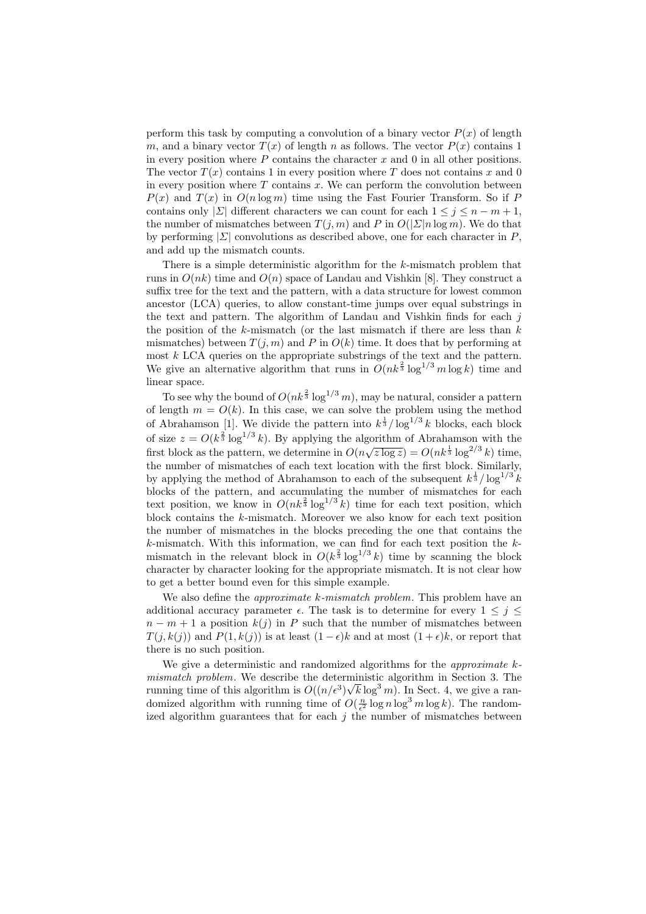perform this task by computing a convolution of a binary vector  $P(x)$  of length m, and a binary vector  $T(x)$  of length n as follows. The vector  $P(x)$  contains 1 in every position where  $P$  contains the character  $x$  and  $0$  in all other positions. The vector  $T(x)$  contains 1 in every position where T does not contains x and 0 in every position where  $T$  contains  $x$ . We can perform the convolution between  $P(x)$  and  $T(x)$  in  $O(n \log m)$  time using the Fast Fourier Transform. So if P contains only  $|\Sigma|$  different characters we can count for each  $1 \leq j \leq n-m+1$ , the number of mismatches between  $T(j, m)$  and P in  $O(|\Sigma|n \log m)$ . We do that by performing  $|\Sigma|$  convolutions as described above, one for each character in P, and add up the mismatch counts.

There is a simple deterministic algorithm for the k-mismatch problem that runs in  $O(nk)$  time and  $O(n)$  space of Landau and Vishkin [8]. They construct a suffix tree for the text and the pattern, with a data structure for lowest common ancestor (LCA) queries, to allow constant-time jumps over equal substrings in the text and pattern. The algorithm of Landau and Vishkin finds for each  $j$ the position of the  $k$ -mismatch (or the last mismatch if there are less than  $k$ mismatches) between  $T(j, m)$  and P in  $O(k)$  time. It does that by performing at most k LCA queries on the appropriate substrings of the text and the pattern. We give an alternative algorithm that runs in  $O(nk^{\frac{2}{3}} \log^{1/3} m \log k)$  time and linear space.

To see why the bound of  $O(nk^{\frac{2}{3}}\log^{1/3}m)$ , may be natural, consider a pattern of length  $m = O(k)$ . In this case, we can solve the problem using the method of Abrahamson [1]. We divide the pattern into  $k^{\frac{1}{3}}/\log^{1/3} k$  blocks, each block of size  $z = O(k^{\frac{2}{3}} \log^{1/3} k)$ . By applying the algorithm of Abrahamson with the or size  $z = O(\kappa^3 \log \kappa)$ . By applying the algorithm of Abrahamson with the first block as the pattern, we determine in  $O(n\sqrt{z \log z}) = O(nk^{\frac{1}{3}} \log^{2/3} k)$  time, the number of mismatches of each text location with the first block. Similarly, by applying the method of Abrahamson to each of the subsequent  $k^{\frac{1}{3}}/\log^{1/3} k$ blocks of the pattern, and accumulating the number of mismatches for each text position, we know in  $O(nk^{\frac{2}{3}}\log^{1/3}k)$  time for each text position, which block contains the  $k$ -mismatch. Moreover we also know for each text position the number of mismatches in the blocks preceding the one that contains the  $k$ -mismatch. With this information, we can find for each text position the  $k$ mismatch in the relevant block in  $O(k^{\frac{2}{3}} \log^{1/3} k)$  time by scanning the block character by character looking for the appropriate mismatch. It is not clear how to get a better bound even for this simple example.

We also define the *approximate k-mismatch problem*. This problem have an additional accuracy parameter  $\epsilon$ . The task is to determine for every  $1 \leq j \leq$  $n - m + 1$  a position  $k(j)$  in P such that the number of mismatches between  $T(i, k(i))$  and  $P(1, k(i))$  is at least  $(1 - \epsilon)k$  and at most  $(1 + \epsilon)k$ , or report that there is no such position.

We give a deterministic and randomized algorithms for the *approximate*  $k$ mismatch problem. We describe the deterministic algorithm in Section 3. The running time of this algorithm is  $O((n/\epsilon^3)\sqrt{k}\log^3 m)$ . In Sect. 4, we give a randomized algorithm with running time of  $O(\frac{n}{\epsilon^2} \log n \log^3 m \log k)$ . The randomized algorithm guarantees that for each  $j$  the number of mismatches between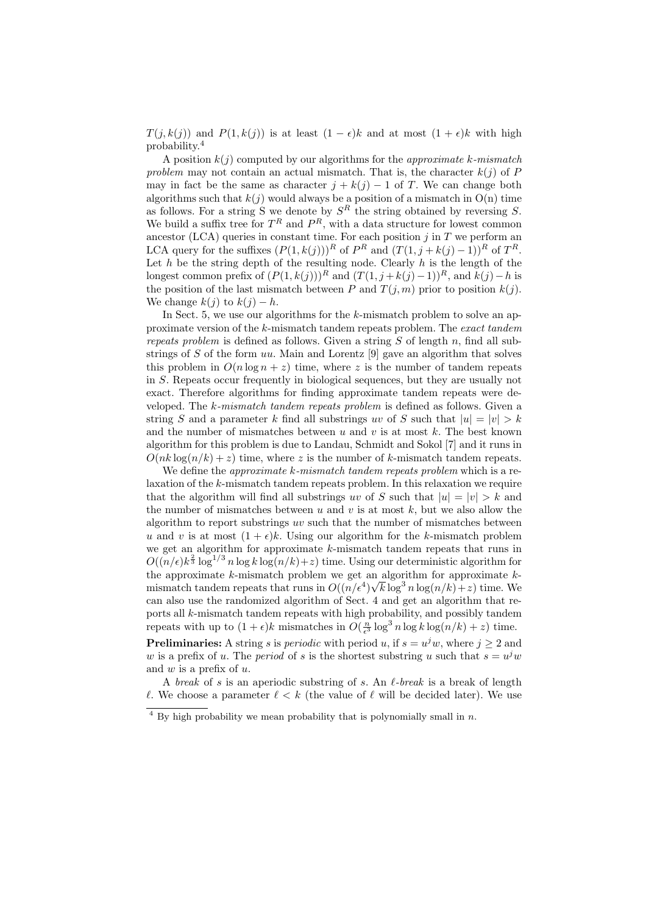$T(j, k(j))$  and  $P(1, k(j))$  is at least  $(1 - \epsilon)k$  and at most  $(1 + \epsilon)k$  with high probability.<sup>4</sup>

A position  $k(j)$  computed by our algorithms for the *approximate* k-mismatch problem may not contain an actual mismatch. That is, the character  $k(j)$  of P may in fact be the same as character  $j + k(j) - 1$  of T. We can change both algorithms such that  $k(j)$  would always be a position of a mismatch in  $O(n)$  time as follows. For a string S we denote by  $S<sup>R</sup>$  the string obtained by reversing S. We build a suffix tree for  $T^R$  and  $P^R$ , with a data structure for lowest common ancestor (LCA) queries in constant time. For each position  $j$  in  $T$  we perform an LCA query for the suffixes  $(P(1, k(j)))^R$  of  $P^R$  and  $(T(1, j + k(j) - 1))^R$  of  $T^R$ . Let  $h$  be the string depth of the resulting node. Clearly  $h$  is the length of the longest common prefix of  $(P(1, k(j)))^R$  and  $(T(1, j + k(j) - 1))^R$ , and  $k(j) - h$  is the position of the last mismatch between P and  $T(j, m)$  prior to position  $k(j)$ . We change  $k(i)$  to  $k(i) - h$ .

In Sect. 5, we use our algorithms for the k-mismatch problem to solve an approximate version of the k-mismatch tandem repeats problem. The exact tandem repeats problem is defined as follows. Given a string  $S$  of length n, find all substrings of S of the form  $uu$ . Main and Lorentz [9] gave an algorithm that solves this problem in  $O(n \log n + z)$  time, where z is the number of tandem repeats in S. Repeats occur frequently in biological sequences, but they are usually not exact. Therefore algorithms for finding approximate tandem repeats were developed. The k-mismatch tandem repeats problem is defined as follows. Given a string S and a parameter k find all substrings uv of S such that  $|u| = |v| > k$ and the number of mismatches between  $u$  and  $v$  is at most  $k$ . The best known algorithm for this problem is due to Landau, Schmidt and Sokol [7] and it runs in  $O(nk \log(n/k) + z)$  time, where z is the number of k-mismatch tandem repeats.

We define the *approximate k-mismatch tandem repeats problem* which is a relaxation of the k-mismatch tandem repeats problem. In this relaxation we require that the algorithm will find all substrings uv of S such that  $|u| = |v| > k$  and the number of mismatches between u and v is at most  $k$ , but we also allow the algorithm to report substrings uv such that the number of mismatches between u and v is at most  $(1 + \epsilon)k$ . Using our algorithm for the k-mismatch problem we get an algorithm for approximate k-mismatch tandem repeats that runs in  $O((n/\epsilon)k^{\frac{2}{3}}\log^{1/3}n\log k\log(n/k)+z)$  time. Using our deterministic algorithm for the approximate k-mismatch problem we get an algorithm for approximate kmismatch tandem repeats that runs in  $O((n/\epsilon^4)\sqrt{k}\log^3 n \log(n/k)+z)$  time. We can also use the randomized algorithm of Sect. 4 and get an algorithm that reports all k-mismatch tandem repeats with high probability, and possibly tandem repeats with up to  $(1+\epsilon)k$  mismatches in  $O(\frac{n}{\epsilon^3} \log^3 n \log k \log(n/k) + z)$  time. **Preliminaries:** A string s is *periodic* with period u, if  $s = u<sup>j</sup>w$ , where  $j \ge 2$  and

w is a prefix of u. The *period* of s is the shortest substring u such that  $s = u<sup>j</sup>w$ and  $w$  is a prefix of  $u$ .

A break of s is an aperiodic substring of s. An  $\ell$ -break is a break of length  $\ell$ . We choose a parameter  $\ell < k$  (the value of  $\ell$  will be decided later). We use

 $\frac{4}{4}$  By high probability we mean probability that is polynomially small in n.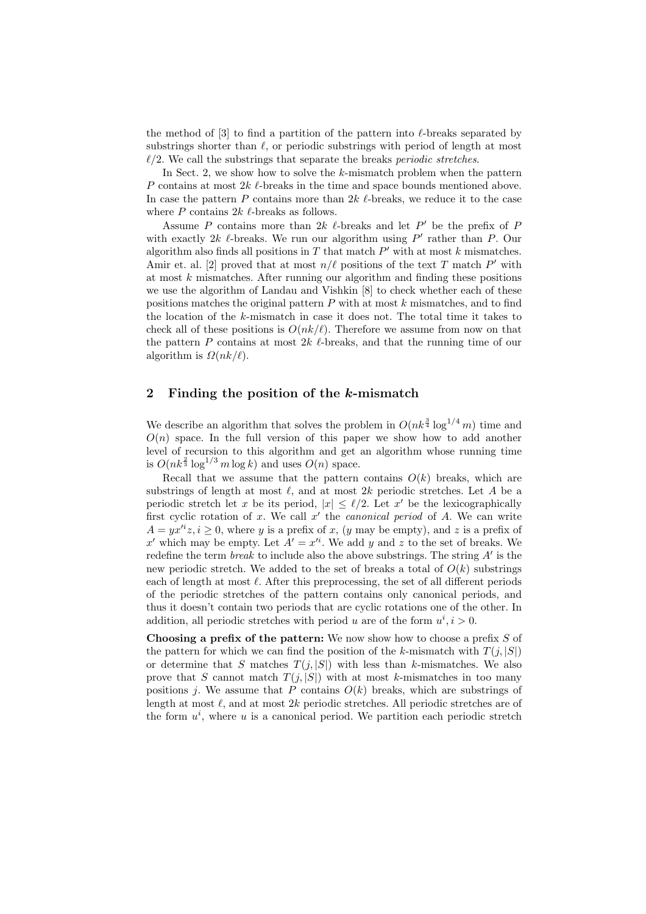the method of  $[3]$  to find a partition of the pattern into  $\ell$ -breaks separated by substrings shorter than  $\ell$ , or periodic substrings with period of length at most  $\ell/2$ . We call the substrings that separate the breaks *periodic stretches*.

In Sect. 2, we show how to solve the  $k$ -mismatch problem when the pattern P contains at most  $2k \ell$ -breaks in the time and space bounds mentioned above. In case the pattern P contains more than  $2k \ell$ -breaks, we reduce it to the case where  $P$  contains  $2k \ell$ -breaks as follows.

Assume P contains more than  $2k$  l-breaks and let P' be the prefix of P with exactly  $2k$   $\ell$ -breaks. We run our algorithm using  $P'$  rather than P. Our algorithm also finds all positions in  $T$  that match  $P'$  with at most  $k$  mismatches. Amir et. al. [2] proved that at most  $n/\ell$  positions of the text T match P' with at most  $k$  mismatches. After running our algorithm and finding these positions we use the algorithm of Landau and Vishkin [8] to check whether each of these positions matches the original pattern  $P$  with at most  $k$  mismatches, and to find the location of the k-mismatch in case it does not. The total time it takes to check all of these positions is  $O(nk/\ell)$ . Therefore we assume from now on that the pattern  $P$  contains at most  $2k \ell$ -breaks, and that the running time of our algorithm is  $\Omega(nk/\ell)$ .

## 2 Finding the position of the k-mismatch

We describe an algorithm that solves the problem in  $O(nk^{\frac{3}{4}} \log^{1/4} m)$  time and  $O(n)$  space. In the full version of this paper we show how to add another level of recursion to this algorithm and get an algorithm whose running time is  $O(nk^{\frac{2}{3}}\log^{1/3}m\log k)$  and uses  $O(n)$  space.

Recall that we assume that the pattern contains  $O(k)$  breaks, which are substrings of length at most  $\ell$ , and at most 2k periodic stretches. Let A be a periodic stretch let x be its period,  $|x| \leq \ell/2$ . Let x' be the lexicographically first cyclic rotation of x. We call  $x'$  the *canonical period* of A. We can write  $A = yx^{i}z, i \geq 0$ , where y is a prefix of x, (y may be empty), and z is a prefix of x' which may be empty. Let  $A' = x^{i}$ . We add y and z to the set of breaks. We redefine the term *break* to include also the above substrings. The string  $A'$  is the new periodic stretch. We added to the set of breaks a total of  $O(k)$  substrings each of length at most  $\ell$ . After this preprocessing, the set of all different periods of the periodic stretches of the pattern contains only canonical periods, and thus it doesn't contain two periods that are cyclic rotations one of the other. In addition, all periodic stretches with period u are of the form  $u^i, i > 0$ .

**Choosing a prefix of the pattern:** We now show how to choose a prefix  $S$  of the pattern for which we can find the position of the k-mismatch with  $T(j, |S|)$ or determine that S matches  $T(j, |S|)$  with less than k-mismatches. We also prove that S cannot match  $T(j, |S|)$  with at most k-mismatches in too many positions j. We assume that  $P$  contains  $O(k)$  breaks, which are substrings of length at most  $\ell$ , and at most  $2k$  periodic stretches. All periodic stretches are of the form  $u^i$ , where u is a canonical period. We partition each periodic stretch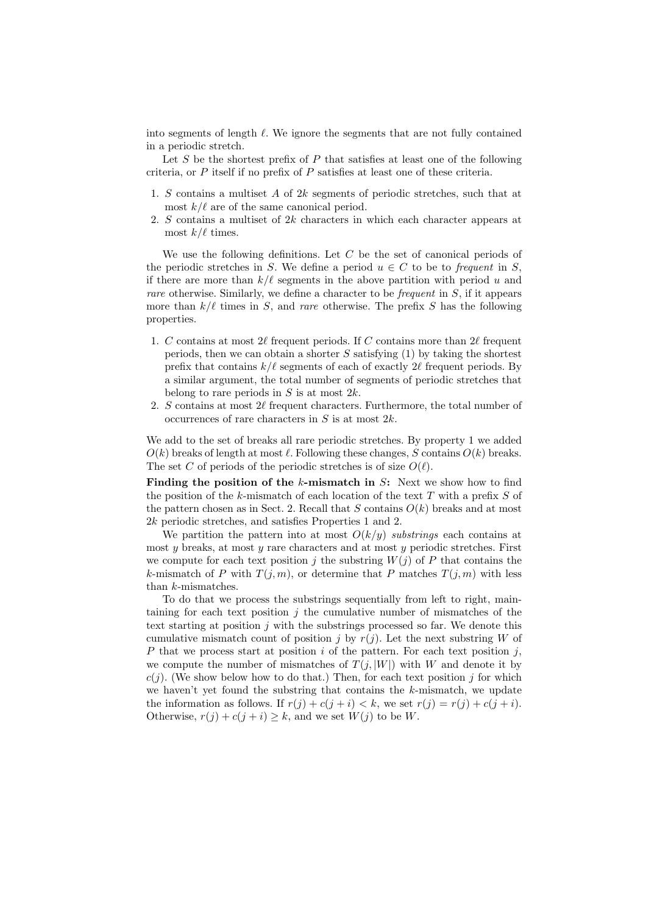into segments of length  $\ell$ . We ignore the segments that are not fully contained in a periodic stretch.

Let  $S$  be the shortest prefix of  $P$  that satisfies at least one of the following criteria, or  $P$  itself if no prefix of  $P$  satisfies at least one of these criteria.

- 1. S contains a multiset A of 2k segments of periodic stretches, such that at most  $k/\ell$  are of the same canonical period.
- 2. S contains a multiset of  $2k$  characters in which each character appears at most  $k/\ell$  times.

We use the following definitions. Let  $C$  be the set of canonical periods of the periodic stretches in S. We define a period  $u \in C$  to be to frequent in S, if there are more than  $k/\ell$  segments in the above partition with period u and rare otherwise. Similarly, we define a character to be frequent in S, if it appears more than  $k/\ell$  times in S, and rare otherwise. The prefix S has the following properties.

- 1. C contains at most 2 $\ell$  frequent periods. If C contains more than 2 $\ell$  frequent periods, then we can obtain a shorter  $S$  satisfying (1) by taking the shortest prefix that contains  $k/\ell$  segments of each of exactly 2 $\ell$  frequent periods. By a similar argument, the total number of segments of periodic stretches that belong to rare periods in  $S$  is at most  $2k$ .
- 2. S contains at most  $2\ell$  frequent characters. Furthermore, the total number of occurrences of rare characters in  $S$  is at most  $2k$ .

We add to the set of breaks all rare periodic stretches. By property 1 we added  $O(k)$  breaks of length at most  $\ell$ . Following these changes, S contains  $O(k)$  breaks. The set C of periods of the periodic stretches is of size  $O(\ell)$ .

Finding the position of the  $k$ -mismatch in  $S$ : Next we show how to find the position of the k-mismatch of each location of the text  $T$  with a prefix  $S$  of the pattern chosen as in Sect. 2. Recall that S contains  $O(k)$  breaks and at most 2k periodic stretches, and satisfies Properties 1 and 2.

We partition the pattern into at most  $O(k/y)$  substrings each contains at most y breaks, at most y rare characters and at most y periodic stretches. First we compute for each text position j the substring  $W(j)$  of P that contains the k-mismatch of P with  $T(j, m)$ , or determine that P matches  $T(j, m)$  with less than k-mismatches.

To do that we process the substrings sequentially from left to right, maintaining for each text position  $i$  the cumulative number of mismatches of the text starting at position  $j$  with the substrings processed so far. We denote this cumulative mismatch count of position j by  $r(j)$ . Let the next substring W of P that we process start at position i of the pattern. For each text position j, we compute the number of mismatches of  $T(j, |W|)$  with W and denote it by  $c(j)$ . (We show below how to do that.) Then, for each text position j for which we haven't yet found the substring that contains the k-mismatch, we update the information as follows. If  $r(j) + c(j + i) < k$ , we set  $r(j) = r(j) + c(j + i)$ . Otherwise,  $r(j) + c(j + i) \geq k$ , and we set  $W(j)$  to be W.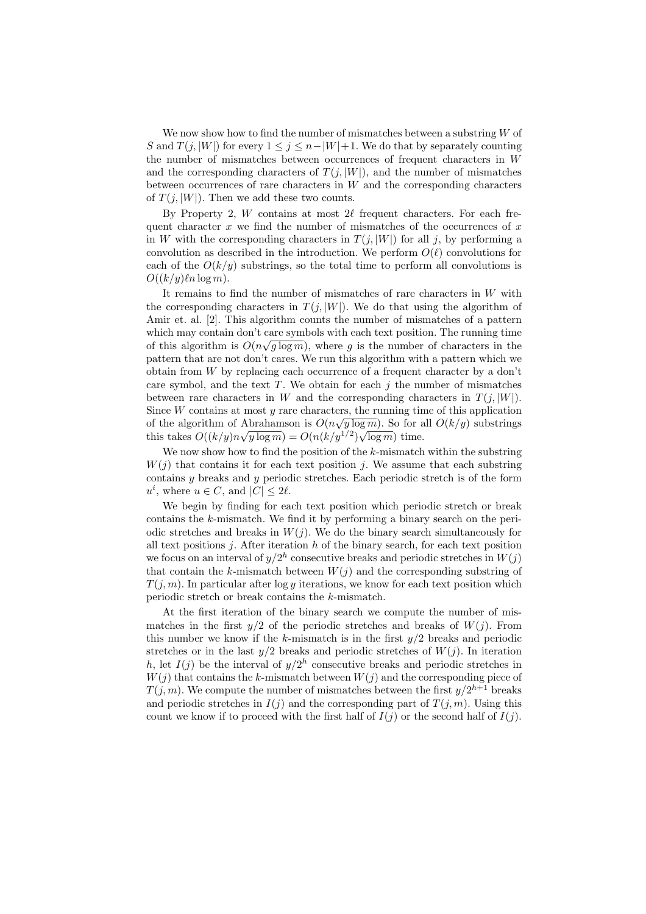We now show how to find the number of mismatches between a substring W of S and  $T(j, |W|)$  for every  $1 \leq j \leq n-|W|+1$ . We do that by separately counting the number of mismatches between occurrences of frequent characters in W and the corresponding characters of  $T(j, |W|)$ , and the number of mismatches between occurrences of rare characters in  $W$  and the corresponding characters of  $T(i, |W|)$ . Then we add these two counts.

By Property 2,  $W$  contains at most  $2\ell$  frequent characters. For each frequent character  $x$  we find the number of mismatches of the occurrences of  $x$ in W with the corresponding characters in  $T(j, |W|)$  for all j, by performing a convolution as described in the introduction. We perform  $O(\ell)$  convolutions for each of the  $O(k/y)$  substrings, so the total time to perform all convolutions is  $O((k/y)\ln \log m)$ .

It remains to find the number of mismatches of rare characters in  $W$  with the corresponding characters in  $T(j, |W|)$ . We do that using the algorithm of Amir et. al. [2]. This algorithm counts the number of mismatches of a pattern which may contain don't care symbols with each text position. The running time of this algorithm is  $O(n\sqrt{g \log m})$ , where g is the number of characters in the pattern that are not don't cares. We run this algorithm with a pattern which we obtain from W by replacing each occurrence of a frequent character by a don't care symbol, and the text  $T$ . We obtain for each  $j$  the number of mismatches between rare characters in W and the corresponding characters in  $T(j, |W|)$ . Since W contains at most y rare characters, the running time of this application of the algorithm of Abrahamson is  $O(n\sqrt{y \log m})$ . So for all  $O(k/y)$  substrings this takes  $O((k/y)n\sqrt{y \log m}) = O(n(k/y^{1/2})\sqrt{\log m})$  time.

We now show how to find the position of the  $k$ -mismatch within the substring  $W(j)$  that contains it for each text position j. We assume that each substring contains y breaks and y periodic stretches. Each periodic stretch is of the form  $u^i$ , where  $u \in C$ , and  $|C| \leq 2\ell$ .

We begin by finding for each text position which periodic stretch or break contains the k-mismatch. We find it by performing a binary search on the periodic stretches and breaks in  $W(j)$ . We do the binary search simultaneously for all text positions  $i$ . After iteration h of the binary search, for each text position we focus on an interval of  $y/2^h$  consecutive breaks and periodic stretches in  $W(j)$ that contain the k-mismatch between  $W(j)$  and the corresponding substring of  $T(j, m)$ . In particular after log y iterations, we know for each text position which periodic stretch or break contains the k-mismatch.

At the first iteration of the binary search we compute the number of mismatches in the first  $y/2$  of the periodic stretches and breaks of  $W(j)$ . From this number we know if the k-mismatch is in the first  $y/2$  breaks and periodic stretches or in the last  $y/2$  breaks and periodic stretches of  $W(j)$ . In iteration h, let  $I(j)$  be the interval of  $y/2^h$  consecutive breaks and periodic stretches in  $W(j)$  that contains the k-mismatch between  $W(j)$  and the corresponding piece of  $T(j, m)$ . We compute the number of mismatches between the first  $y/2^{h+1}$  breaks and periodic stretches in  $I(j)$  and the corresponding part of  $T(j, m)$ . Using this count we know if to proceed with the first half of  $I(i)$  or the second half of  $I(i)$ .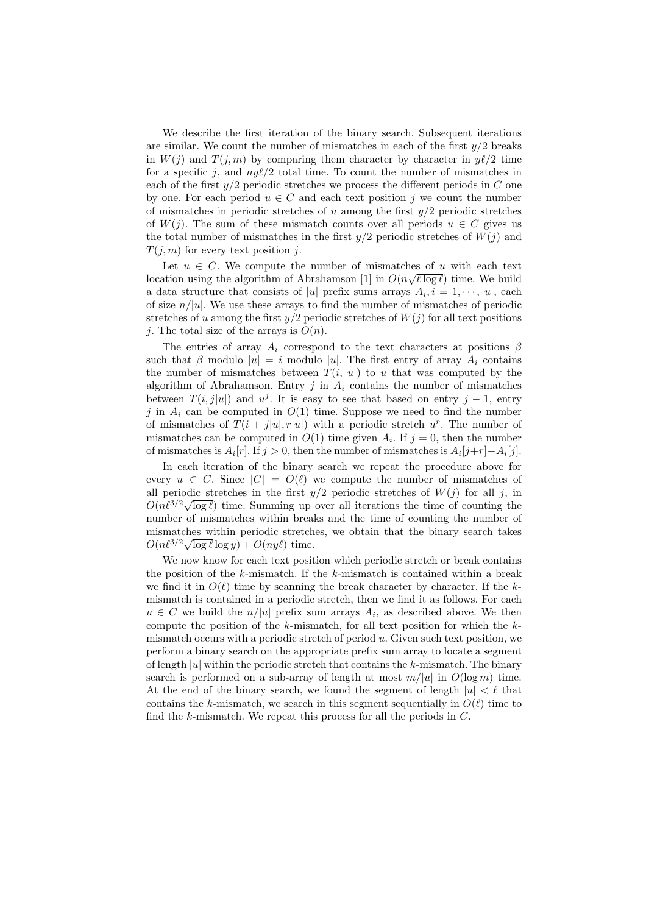We describe the first iteration of the binary search. Subsequent iterations are similar. We count the number of mismatches in each of the first  $y/2$  breaks in  $W(j)$  and  $T(j, m)$  by comparing them character by character in  $y\ell/2$  time for a specific j, and  $ny\ell/2$  total time. To count the number of mismatches in each of the first  $y/2$  periodic stretches we process the different periods in C one by one. For each period  $u \in C$  and each text position j we count the number of mismatches in periodic stretches of u among the first  $y/2$  periodic stretches of  $W(j)$ . The sum of these mismatch counts over all periods  $u \in C$  gives us the total number of mismatches in the first  $y/2$  periodic stretches of  $W(j)$  and  $T(j, m)$  for every text position j.

Let  $u \in C$ . We compute the number of mismatches of u with each text location using the algorithm of Abrahamson [1] in  $O(n\sqrt{\ell \log \ell})$  time. We build a data structure that consists of |u| prefix sums arrays  $A_i, i = 1, \dots, |u|$ , each of size  $n/|u|$ . We use these arrays to find the number of mismatches of periodic stretches of u among the first  $y/2$  periodic stretches of  $W(j)$  for all text positions *i*. The total size of the arrays is  $O(n)$ .

The entries of array  $A_i$  correspond to the text characters at positions  $\beta$ such that  $\beta$  modulo  $|u| = i$  modulo  $|u|$ . The first entry of array  $A_i$  contains the number of mismatches between  $T(i, |u|)$  to u that was computed by the algorithm of Abrahamson. Entry  $j$  in  $A_i$  contains the number of mismatches between  $T(i, j|u|)$  and  $u^{j}$ . It is easy to see that based on entry  $j - 1$ , entry j in  $A_i$  can be computed in  $O(1)$  time. Suppose we need to find the number of mismatches of  $T(i + j|u|, r|u|)$  with a periodic stretch  $u^r$ . The number of mismatches can be computed in  $O(1)$  time given  $A_i$ . If  $j = 0$ , then the number of mismatches is  $A_i[r]$ . If  $j > 0$ , then the number of mismatches is  $A_i[j+r] - A_i[j]$ .

In each iteration of the binary search we repeat the procedure above for every  $u \in C$ . Since  $|C| = O(\ell)$  we compute the number of mismatches of all periodic stretches in the first  $y/2$  periodic stretches of  $W(j)$  for all j, in all periodic stretches in the first  $y/z$  periodic stretches of  $W(y)$  for all j, in  $O(n\ell^{3/2}\sqrt{\log \ell})$  time. Summing up over all iterations the time of counting the number of mismatches within breaks and the time of counting the number of mismatches within periodic stretches, we obtain that the binary search takes mismatches within periodic stretch<br> $O(n\ell^{3/2}\sqrt{\log \ell} \log y) + O(ny\ell)$  time.

We now know for each text position which periodic stretch or break contains the position of the  $k$ -mismatch. If the  $k$ -mismatch is contained within a break we find it in  $O(\ell)$  time by scanning the break character by character. If the kmismatch is contained in a periodic stretch, then we find it as follows. For each  $u \in C$  we build the  $n/|u|$  prefix sum arrays  $A_i$ , as described above. We then compute the position of the  $k$ -mismatch, for all text position for which the  $k$ mismatch occurs with a periodic stretch of period  $u$ . Given such text position, we perform a binary search on the appropriate prefix sum array to locate a segment of length  $|u|$  within the periodic stretch that contains the k-mismatch. The binary search is performed on a sub-array of length at most  $m/|u|$  in  $O(\log m)$  time. At the end of the binary search, we found the segment of length  $|u| < \ell$  that contains the k-mismatch, we search in this segment sequentially in  $O(\ell)$  time to find the k-mismatch. We repeat this process for all the periods in  $C$ .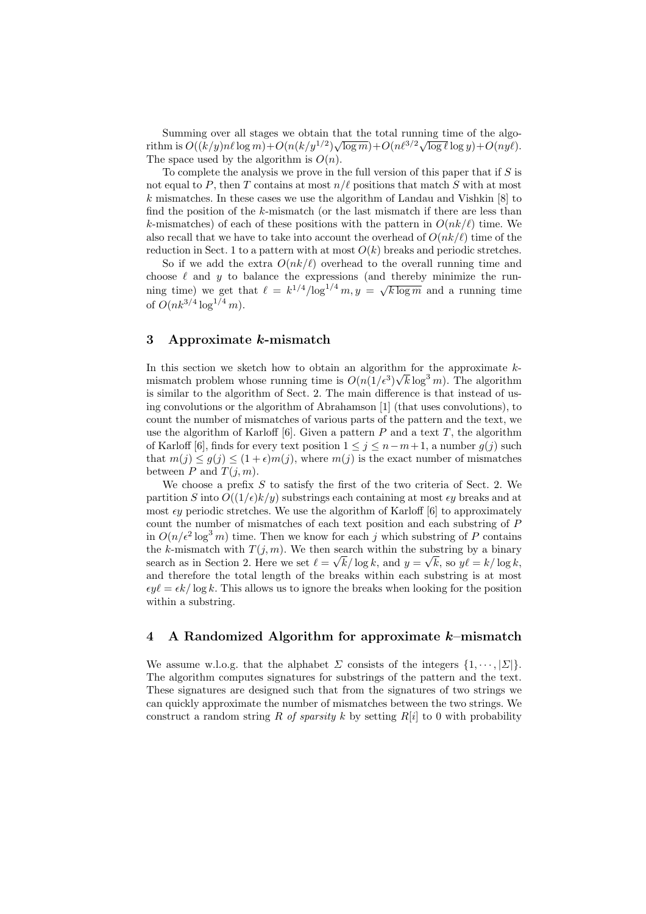Summing over all stages we obtain that the total running time of the algosumming over an stages we obtain that the total running time of the aigo-<br>rithm is  $O((k/y) n \ell \log m) + O(n(k/y^{1/2}) \sqrt{\log m}) + O(n\ell^{3/2} \sqrt{\log \ell} \log y) + O(ny\ell)$ . The space used by the algorithm is  $O(n)$ .

To complete the analysis we prove in the full version of this paper that if  $S$  is not equal to P, then T contains at most  $n/\ell$  positions that match S with at most k mismatches. In these cases we use the algorithm of Landau and Vishkin  $[8]$  to find the position of the  $k$ -mismatch (or the last mismatch if there are less than k-mismatches) of each of these positions with the pattern in  $O(nk/\ell)$  time. We also recall that we have to take into account the overhead of  $O(nk/\ell)$  time of the reduction in Sect. 1 to a pattern with at most  $O(k)$  breaks and periodic stretches.

So if we add the extra  $O(nk/\ell)$  overhead to the overall running time and choose  $\ell$  and y to balance the expressions (and thereby minimize the runenouse t and y to balance the expressions (and thereby imminize the run-<br>ning time) we get that  $\ell = k^{1/4}/\log^{1/4} m, y = \sqrt{k \log m}$  and a running time of  $O(nk^{3/4} \log^{1/4} m)$ .

## 3 Approximate k-mismatch

In this section we sketch how to obtain an algorithm for the approximate  $k$ mismatch problem whose running time is  $O(n(1/\epsilon^3)\sqrt{k}\log^3 m)$ . The algorithm is similar to the algorithm of Sect. 2. The main difference is that instead of using convolutions or the algorithm of Abrahamson [1] (that uses convolutions), to count the number of mismatches of various parts of the pattern and the text, we use the algorithm of Karloff  $[6]$ . Given a pattern P and a text T, the algorithm of Karloff [6], finds for every text position  $1 \leq j \leq n-m+1$ , a number  $g(j)$  such that  $m(j) \leq g(j) \leq (1+\epsilon)m(j)$ , where  $m(j)$  is the exact number of mismatches between P and  $T(i, m)$ .

We choose a prefix  $S$  to satisfy the first of the two criteria of Sect. 2. We partition S into  $O((1/\epsilon)k/y)$  substrings each containing at most  $\epsilon y$  breaks and at most  $\epsilon y$  periodic stretches. We use the algorithm of Karloff [6] to approximately count the number of mismatches of each text position and each substring of P in  $O(n/\epsilon^2 \log^3 m)$  time. Then we know for each j which substring of P contains the k-mismatch with  $T(j, m)$ . We then search within the substring by a binary search as in Section 2. Here we set  $\ell = \sqrt{k/\log k}$ , and  $y = \sqrt{k}$ , so  $y\ell = k/\log k$ , and therefore the total length of the breaks within each substring is at most  $\epsilon y \ell = \epsilon k / \log k$ . This allows us to ignore the breaks when looking for the position within a substring.

#### 4 A Randomized Algorithm for approximate  $k$ -mismatch

We assume w.l.o.g. that the alphabet  $\Sigma$  consists of the integers  $\{1, \dots, |\Sigma|\}$ . The algorithm computes signatures for substrings of the pattern and the text. These signatures are designed such that from the signatures of two strings we can quickly approximate the number of mismatches between the two strings. We construct a random string R of sparsity k by setting  $R[i]$  to 0 with probability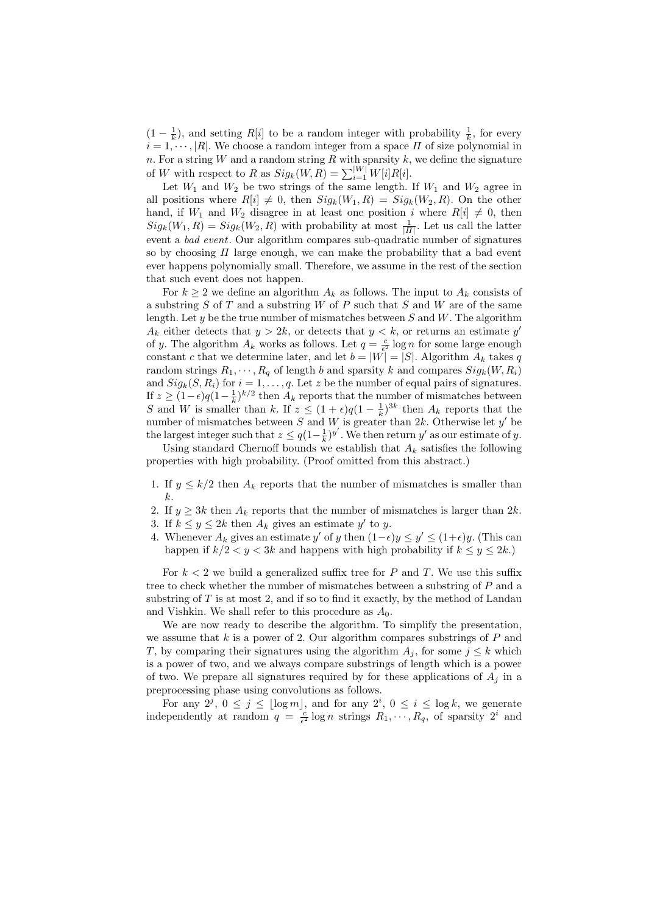$(1 - \frac{1}{k})$ , and setting R[i] to be a random integer with probability  $\frac{1}{k}$ , for every  $i = 1, \dots, |R|$ . We choose a random integer from a space  $\Pi$  of size polynomial in n. For a string  $W$  and a random string  $R$  with sparsity  $k$ , we define the signature of W with respect to R as  $Sig_k(W, R) = \sum_{i=1}^{|W|} W[i]R[i].$ 

Let  $W_1$  and  $W_2$  be two strings of the same length. If  $W_1$  and  $W_2$  agree in all positions where  $R[i] \neq 0$ , then  $Sig_k(W_1, R) = Sig_k(W_2, R)$ . On the other hand, if  $W_1$  and  $W_2$  disagree in at least one position i where  $R[i] \neq 0$ , then  $Sig_k(W_1, R) = Sig_k(W_2, R)$  with probability at most  $\frac{1}{|H|}$ . Let us call the latter event a bad event. Our algorithm compares sub-quadratic number of signatures so by choosing  $\Pi$  large enough, we can make the probability that a bad event ever happens polynomially small. Therefore, we assume in the rest of the section that such event does not happen.

For  $k \geq 2$  we define an algorithm  $A_k$  as follows. The input to  $A_k$  consists of a substring  $S$  of  $T$  and a substring  $W$  of  $P$  such that  $S$  and  $W$  are of the same length. Let y be the true number of mismatches between  $S$  and  $W$ . The algorithm  $A_k$  either detects that  $y > 2k$ , or detects that  $y < k$ , or returns an estimate y' of y. The algorithm  $A_k$  works as follows. Let  $q = \frac{c}{\epsilon^2} \log n$  for some large enough constant c that we determine later, and let  $b = |W| = |S|$ . Algorithm  $A_k$  takes q random strings  $R_1, \dots, R_q$  of length b and sparsity k and compares  $Sig_k(W, R_i)$ and  $Sig_k(S, R_i)$  for  $i = 1, ..., q$ . Let z be the number of equal pairs of signatures. If  $z \geq (1-\epsilon)q(1-\frac{1}{k})^{k/2}$  then  $A_k$  reports that the number of mismatches between S and W is smaller than k. If  $z \leq (1+\epsilon)q(1-\frac{1}{k})^{3k}$  then  $A_k$  reports that the number of mismatches between S and W is greater than 2k. Otherwise let  $y'$  be the largest integer such that  $z \leq q(1-\frac{1}{k})^{y'}$ . We then return y' as our estimate of y.

Using standard Chernoff bounds we establish that  $A_k$  satisfies the following properties with high probability. (Proof omitted from this abstract.)

- 1. If  $y \leq k/2$  then  $A_k$  reports that the number of mismatches is smaller than k.
- 2. If  $y \geq 3k$  then  $A_k$  reports that the number of mismatches is larger than  $2k$ .
- 3. If  $k \leq y \leq 2k$  then  $A_k$  gives an estimate y' to y.
- 4. Whenever  $A_k$  gives an estimate y' of y then  $(1-\epsilon)y \le y' \le (1+\epsilon)y$ . (This can happen if  $k/2 < y < 3k$  and happens with high probability if  $k \leq y \leq 2k$ .

For  $k < 2$  we build a generalized suffix tree for P and T. We use this suffix tree to check whether the number of mismatches between a substring of P and a substring of  $T$  is at most 2, and if so to find it exactly, by the method of Landau and Vishkin. We shall refer to this procedure as  $A_0$ .

We are now ready to describe the algorithm. To simplify the presentation, we assume that  $k$  is a power of 2. Our algorithm compares substrings of  $P$  and T, by comparing their signatures using the algorithm  $A_i$ , for some  $j \leq k$  which is a power of two, and we always compare substrings of length which is a power of two. We prepare all signatures required by for these applications of  $A_i$  in a preprocessing phase using convolutions as follows.

For any  $2^j$ ,  $0 \le j \le |\log m|$ , and for any  $2^i$ ,  $0 \le i \le \log k$ , we generate independently at random  $q = \frac{c}{\epsilon^2} \log n$  strings  $R_1, \dots, R_q$ , of sparsity  $2^i$  and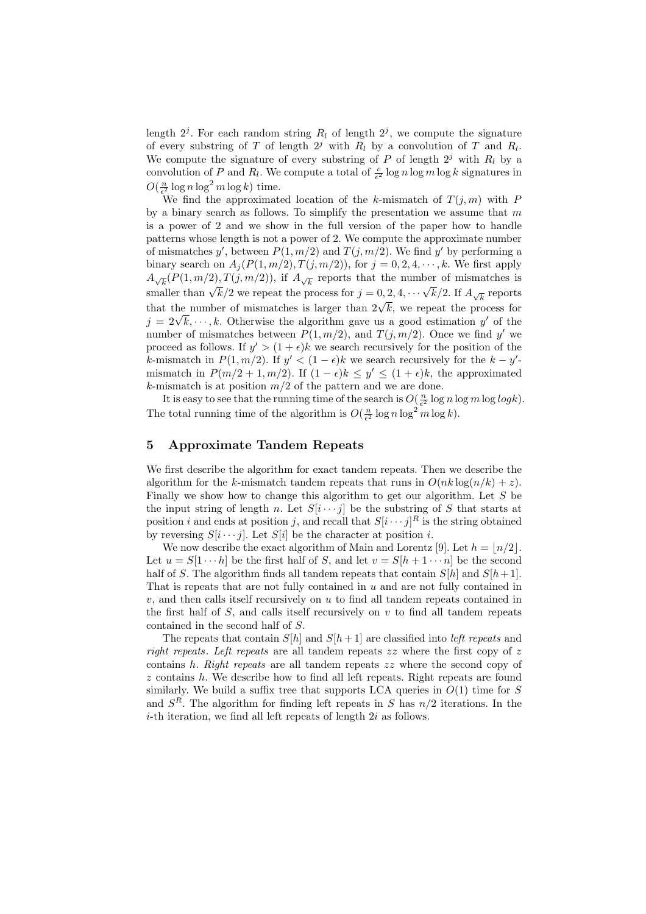length  $2^j$ . For each random string  $R_l$  of length  $2^j$ , we compute the signature of every substring of T of length  $2^j$  with  $R_l$  by a convolution of T and  $R_l$ . We compute the signature of every substring of P of length  $2<sup>j</sup>$  with  $R<sub>l</sub>$  by a convolution of P and  $R_l$ . We compute a total of  $\frac{c}{\epsilon^2} \log n \log m \log k$  signatures in  $O(\frac{n}{\epsilon^2} \log n \log^2 m \log k)$  time.

We find the approximated location of the k-mismatch of  $T(j, m)$  with P by a binary search as follows. To simplify the presentation we assume that  $m$ is a power of 2 and we show in the full version of the paper how to handle patterns whose length is not a power of 2. We compute the approximate number of mismatches y', between  $P(1, m/2)$  and  $T(j, m/2)$ . We find y' by performing a binary search on  $A_i(P(1,m/2), T(j,m/2))$ , for  $j = 0, 2, 4, \dots, k$ . We first apply  $A_{\sqrt{k}}(P(1,m/2), T(j,m/2)),$  if  $A_{\sqrt{k}}$  reports that the number of mismatches is  $A_{\sqrt{k}}(T_1, m_1 z), T_1, m_1 z),$  if  $A_{\sqrt{k}}$  reports that the number of inisialities is<br>smaller than  $\sqrt{k}/2$  we repeat the process for  $j = 0, 2, 4, \cdots \sqrt{k}/2$ . If  $A_{\sqrt{k}}$  reports that the number of mismatches is larger than  $2\sqrt{k}$ , we repeat the process for that the number of mismatches is larger than  $2\sqrt{k}$ , we repeat the process for that the number of mismatches is larger than  $2\sqrt{k}$ , we repeat the process for  $j = 2\sqrt{k}, \dots, k$ . Otherwise the algorithm gave us a good estimation y' of the number of mismatches between  $P(1, m/2)$ , and  $T(j, m/2)$ . Once we find y' we proceed as follows. If  $y' > (1 + \epsilon)k$  we search recursively for the position of the k-mismatch in  $P(1, m/2)$ . If  $y' < (1 - \epsilon)k$  we search recursively for the  $k - y'$ mismatch in  $P(m/2+1,m/2)$ . If  $(1-\epsilon)k \leq y' \leq (1+\epsilon)k$ , the approximated k-mismatch is at position  $m/2$  of the pattern and we are done.

It is easy to see that the running time of the search is  $O(\frac{n}{\epsilon^2} \log n \log m \log \log k)$ . The total running time of the algorithm is  $O(\frac{n}{\epsilon^2} \log n \log^2 m \log k)$ .

# 5 Approximate Tandem Repeats

We first describe the algorithm for exact tandem repeats. Then we describe the algorithm for the k-mismatch tandem repeats that runs in  $O(nk \log(n/k) + z)$ . Finally we show how to change this algorithm to get our algorithm. Let  $S$  be the input string of length n. Let  $S[i \cdots j]$  be the substring of S that starts at position i and ends at position j, and recall that  $S[i \cdots j]^R$  is the string obtained by reversing  $S[i \cdots j]$ . Let  $S[i]$  be the character at position *i*.

We now describe the exact algorithm of Main and Lorentz [9]. Let  $h = \lfloor n/2 \rfloor$ . Let  $u = S[1 \cdots h]$  be the first half of S, and let  $v = S[h + 1 \cdots n]$  be the second half of S. The algorithm finds all tandem repeats that contain  $S[h]$  and  $S[h+1]$ . That is repeats that are not fully contained in  $u$  and are not fully contained in  $v$ , and then calls itself recursively on  $u$  to find all tandem repeats contained in the first half of  $S$ , and calls itself recursively on  $v$  to find all tandem repeats contained in the second half of S.

The repeats that contain  $S[h]$  and  $S[h+1]$  are classified into left repeats and right repeats. Left repeats are all tandem repeats  $zz$  where the first copy of z contains h. Right repeats are all tandem repeats zz where the second copy of z contains h. We describe how to find all left repeats. Right repeats are found similarly. We build a suffix tree that supports LCA queries in  $O(1)$  time for S and  $S<sup>R</sup>$ . The algorithm for finding left repeats in S has  $n/2$  iterations. In the  $i$ -th iteration, we find all left repeats of length  $2i$  as follows.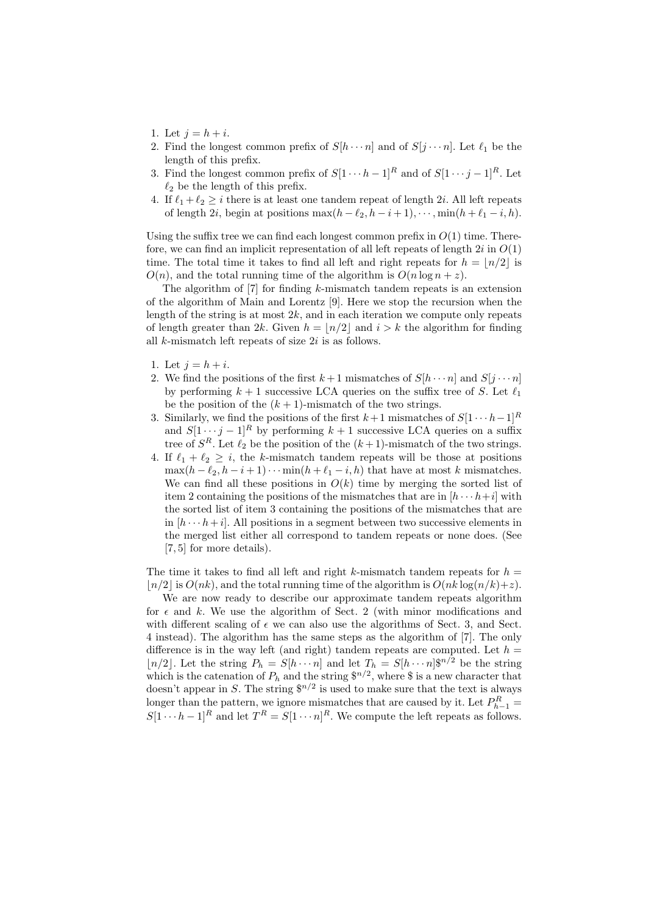- 1. Let  $j = h + i$ .
- 2. Find the longest common prefix of  $S[h\cdots n]$  and of  $S[j\cdots n]$ . Let  $\ell_1$  be the length of this prefix.
- 3. Find the longest common prefix of  $S[1 \cdots h-1]^R$  and of  $S[1 \cdots j-1]^R$ . Let  $\ell_2$  be the length of this prefix.
- 4. If  $\ell_1 + \ell_2 \geq i$  there is at least one tandem repeat of length 2i. All left repeats of length 2i, begin at positions  $\max(h - \ell_2, h - i + 1), \cdots, \min(h + \ell_1 - i, h)$ .

Using the suffix tree we can find each longest common prefix in  $O(1)$  time. Therefore, we can find an implicit representation of all left repeats of length  $2i$  in  $O(1)$ time. The total time it takes to find all left and right repeats for  $h = |n/2|$  is  $O(n)$ , and the total running time of the algorithm is  $O(n \log n + z)$ .

The algorithm of [7] for finding k-mismatch tandem repeats is an extension of the algorithm of Main and Lorentz [9]. Here we stop the recursion when the length of the string is at most  $2k$ , and in each iteration we compute only repeats of length greater than 2k. Given  $h = \lfloor n/2 \rfloor$  and  $i > k$  the algorithm for finding all k-mismatch left repeats of size 2i is as follows.

- 1. Let  $j = h + i$ .
- 2. We find the positions of the first  $k+1$  mismatches of  $S[h\cdots n]$  and  $S[i\cdots n]$ by performing  $k + 1$  successive LCA queries on the suffix tree of S. Let  $\ell_1$ be the position of the  $(k + 1)$ -mismatch of the two strings.
- 3. Similarly, we find the positions of the first  $k+1$  mismatches of  $S[1 \cdots h-1]^R$ and  $S[1 \cdots j-1]^R$  by performing  $k+1$  successive LCA queries on a suffix tree of  $S^R$ . Let  $\ell_2$  be the position of the  $(k+1)$ -mismatch of the two strings.
- 4. If  $\ell_1 + \ell_2 \geq i$ , the k-mismatch tandem repeats will be those at positions  $\max(h - \ell_2, h - i + 1) \cdots \min(h + \ell_1 - i, h)$  that have at most k mismatches. We can find all these positions in  $O(k)$  time by merging the sorted list of item 2 containing the positions of the mismatches that are in  $[h \cdots h+i]$  with the sorted list of item 3 containing the positions of the mismatches that are in  $[h \cdots h+i]$ . All positions in a segment between two successive elements in the merged list either all correspond to tandem repeats or none does. (See [7, 5] for more details).

The time it takes to find all left and right k-mismatch tandem repeats for  $h =$  $\lfloor n/2 \rfloor$  is  $O(nk)$ , and the total running time of the algorithm is  $O(nk \log(n/k)+z)$ .

We are now ready to describe our approximate tandem repeats algorithm for  $\epsilon$  and k. We use the algorithm of Sect. 2 (with minor modifications and with different scaling of  $\epsilon$  we can also use the algorithms of Sect. 3, and Sect. 4 instead). The algorithm has the same steps as the algorithm of [7]. The only difference is in the way left (and right) tandem repeats are computed. Let  $h =$  $\lfloor n/2 \rfloor$ . Let the string  $P_h = S[h \cdots n]$  and let  $T_h = S[h \cdots n]$   $\{n/2\}$  be the string which is the catenation of  $P_h$  and the string  $\mathbb{S}^{n/2}$ , where  $\mathbb{S}$  is a new character that doesn't appear in S. The string  $\mathbb{S}^{n/2}$  is used to make sure that the text is always longer than the pattern, we ignore mismatches that are caused by it. Let  $P_{h-1}^R =$  $S[1 \cdots h-1]^R$  and let  $T^R = S[1 \cdots n]^R$ . We compute the left repeats as follows.